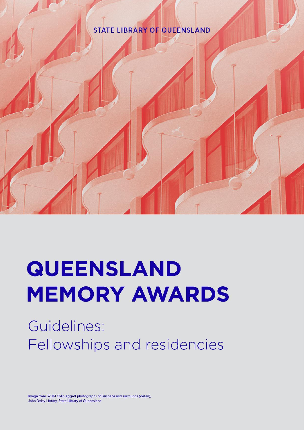# **STATE LIBRARY OF QUEENSLAND**



Guidelines: Fellowships and residencies

Image from 32061 Colin Aggett photographs of Brisbane and surrounds (detail). John Oxley Library, State Library of Queensland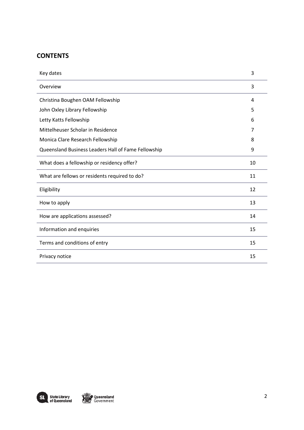## **CONTENTS**

| Key dates                                           | 3  |
|-----------------------------------------------------|----|
| Overview                                            | 3  |
| Christina Boughen OAM Fellowship                    | 4  |
| John Oxley Library Fellowship                       | 5  |
| Letty Katts Fellowship                              | 6  |
| Mittelheuser Scholar in Residence                   | 7  |
| Monica Clare Research Fellowship                    | 8  |
| Queensland Business Leaders Hall of Fame Fellowship | 9  |
| What does a fellowship or residency offer?          | 10 |
| What are fellows or residents required to do?       | 11 |
| Eligibility                                         | 12 |
| How to apply                                        | 13 |
| How are applications assessed?                      | 14 |
| Information and enquiries                           | 15 |
| Terms and conditions of entry                       | 15 |
| Privacy notice                                      | 15 |

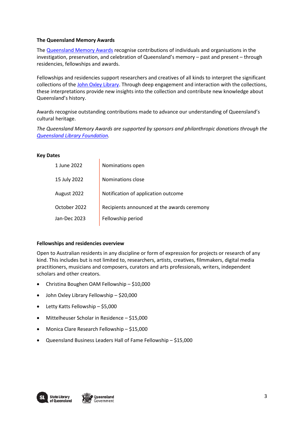### **The Queensland Memory Awards**

The [Queensland Memory Awards](https://www.slq.qld.gov.au/get-involved/fellowships-awards-and-residencies/queensland-memory-awards) recognise contributions of individuals and organisations in the investigation, preservation, and celebration of Queensland's memory – past and present – through residencies, fellowships and awards.

Fellowships and residencies support researchers and creatives of all kinds to interpret the significant collections of the [John Oxley Library.](https://www.slq.qld.gov.au/plan-my-visit/spaces-visit/john-oxley-library) Through deep engagement and interaction with the collections, these interpretations provide new insights into the collection and contribute new knowledge about Queensland's history.

Awards recognise outstanding contributions made to advance our understanding of Queensland's cultural heritage.

*The Queensland Memory Awards are supported by sponsors and philanthropic donations through the [Queensland Library Foundation.](https://www.slq.qld.gov.au/foundation)* 

#### **Key Dates**

| 1 June 2022  | Nominations open                            |
|--------------|---------------------------------------------|
| 15 July 2022 | Nominations close                           |
| August 2022  | Notification of application outcome         |
| October 2022 | Recipients announced at the awards ceremony |
| Jan-Dec 2023 | Fellowship period                           |
|              |                                             |

#### **Fellowships and residencies overview**

Open to Australian residents in any discipline or form of expression for projects or research of any kind. This includes but is not limited to, researchers, artists, creatives, filmmakers, digital media practitioners, musicians and composers, curators and arts professionals, writers, independent scholars and other creators.

• Christina Boughen OAM Fellowship – \$10,000

 $\overline{1}$ 

- John Oxley Library Fellowship \$20,000
- Letty Katts Fellowship \$5,000
- Mittelheuser Scholar in Residence \$15,000
- Monica Clare Research Fellowship \$15,000
- Queensland Business Leaders Hall of Fame Fellowship \$15,000

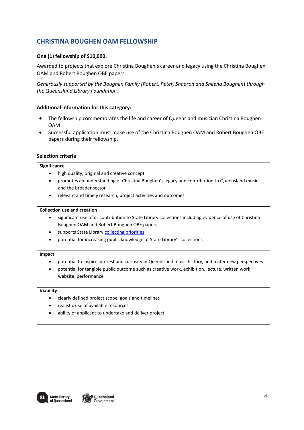## **CHRISTINA BOUGHEN OAM FELLOWSHIP**

## **One (1) fellowship of \$10,000.**

Awarded to projects that explore Christina Boughen's career and legacy using the Christina Boughen OAM and Robert Boughen OBE papers.

*Generously supported by the Boughen Family (Robert, Peter, Shaaron and Sheena Boughen*) *through the Queensland Library Foundation.* 

### **Additional information for this category:**

- The fellowship commemorates the life and career of Queensland musician Christina Boughen OAM
- Successful application must make use of the Christina Boughen OAM and Robert Boughen OBE papers during their fellowship.

### **Selection criteria**

#### **Significance**

- high quality, original and creative concept
- promotes an understanding of Christina Boughen's legacy and contribution to Queensland music and the broader sector
- relevant and timely research, project activities and outcomes

#### **Collection use and creation**

- significant use of or contribution to State Library collections including evidence of use of Christina Boughen OAM and Robert Boughen OBE papers
- supports State Library [collecting priorities](https://www.slq.qld.gov.au/sites/default/files/0019-408511-content-guidelines-memory-collections_0.pdf)
- potential for increasing public knowledge of State Library's collections

#### **Impact**

- potential to inspire interest and curiosity in Queensland music history, and foster new perspectives
- potential for tangible public outcome such as creative work, exhibition, lecture, written work, website, performance

- clearly defined project scope, goals and timelines
- realistic use of available resources
- ability of applicant to undertake and deliver project

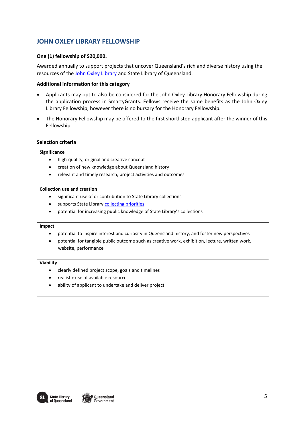## **JOHN OXLEY LIBRARY FELLOWSHIP**

## **One (1) fellowship of \$20,000.**

Awarded annually to support projects that uncover Queensland's rich and diverse history using the resources of the [John Oxley Library](https://www.slq.qld.gov.au/plan-my-visit/spaces-visit/john-oxley-library) and State Library of Queensland.

### **Additional information for this category**

- Applicants may opt to also be considered for the John Oxley Library Honorary Fellowship during the application process in SmartyGrants. Fellows receive the same benefits as the John Oxley Library Fellowship, however there is no bursary for the Honorary Fellowship.
- The Honorary Fellowship may be offered to the first shortlisted applicant after the winner of this Fellowship.

### **Selection criteria**

#### **Significance**

- high-quality, original and creative concept
- creation of new knowledge about Queensland history
- relevant and timely research, project activities and outcomes

### **Collection use and creation**

- significant use of or contribution to State Library collections
- supports State Library [collecting priorities](https://www.slq.qld.gov.au/sites/default/files/0019-408511-content-guidelines-memory-collections_0.pdf)
- potential for increasing public knowledge of State Library's collections

#### **Impact**

- potential to inspire interest and curiosity in Queensland history, and foster new perspectives
- potential for tangible public outcome such as creative work, exhibition, lecture, written work, website, performance

- clearly defined project scope, goals and timelines
- realistic use of available resources
- ability of applicant to undertake and deliver project

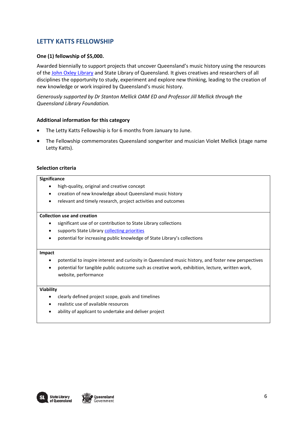## **LETTY KATTS FELLOWSHIP**

### **One (1) fellowship of \$5,000.**

Awarded biennially to support projects that uncover Queensland's music history using the resources of the [John Oxley Library](https://www.slq.qld.gov.au/plan-my-visit/spaces-visit/john-oxley-library) and State Library of Queensland. It gives creatives and researchers of all disciplines the opportunity to study, experiment and explore new thinking, leading to the creation of new knowledge or work inspired by Queensland's music history.

*Generously supported by Dr Stanton Mellick OAM ED and Professor Jill Mellick through the Queensland Library Foundation.*

### **Additional information for this category**

- The Letty Katts Fellowship is for 6 months from January to June.
- The Fellowship commemorates Queensland songwriter and musician Violet Mellick (stage name Letty Katts).

### **Selection criteria**

#### **Significance**

- high-quality, original and creative concept
- creation of new knowledge about Queensland music history
- relevant and timely research, project activities and outcomes

#### **Collection use and creation**

- significant use of or contribution to State Library collections
- supports State Library [collecting priorities](https://www.slq.qld.gov.au/sites/default/files/0019-408511-content-guidelines-memory-collections_0.pdf)
- potential for increasing public knowledge of State Library's collections

#### **Impact**

- potential to inspire interest and curiosity in Queensland music history, and foster new perspectives
- potential for tangible public outcome such as creative work, exhibition, lecture, written work, website, performance

- clearly defined project scope, goals and timelines
- realistic use of available resources
- ability of applicant to undertake and deliver project



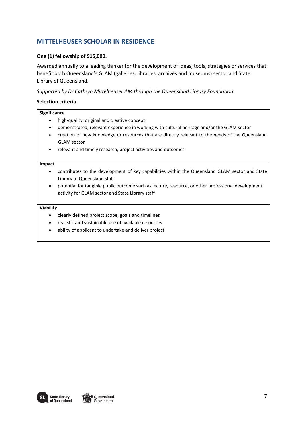## **MITTELHEUSER SCHOLAR IN RESIDENCE**

## **One (1) fellowship of \$15,000.**

Awarded annually to a leading thinker for the development of ideas, tools, strategies or services that benefit both Queensland's GLAM (galleries, libraries, archives and museums) sector and State Library of Queensland.

*Supported by Dr Cathryn Mittelheuser AM through the Queensland Library Foundation.* 

### **Selection criteria**

#### **Significance**

- high-quality, original and creative concept
- demonstrated, relevant experience in working with cultural heritage and/or the GLAM sector
- creation of new knowledge or resources that are directly relevant to the needs of the Queensland GLAM sector
- relevant and timely research, project activities and outcomes

#### **Impact**

- contributes to the development of key capabilities within the Queensland GLAM sector and State Library of Queensland staff
- potential for tangible public outcome such as lecture, resource, or other professional development activity for GLAM sector and State Library staff

- clearly defined project scope, goals and timelines
- realistic and sustainable use of available resources
- ability of applicant to undertake and deliver project

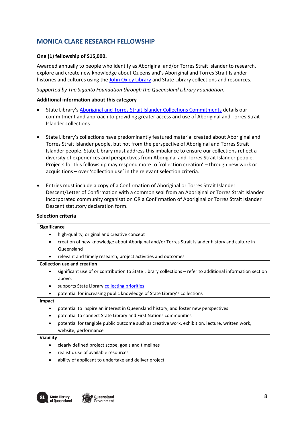# **MONICA CLARE RESEARCH FELLOWSHIP**

## **One (1) fellowship of \$15,000.**

Awarded annually to people who identify as Aboriginal and/or Torres Strait Islander to research, explore and create new knowledge about Queensland's Aboriginal and Torres Strait Islander histories and cultures using the [John Oxley Library](https://www.slq.qld.gov.au/plan-my-visit/spaces-visit/john-oxley-library) and State Library collections and resources.

*Supported by The Siganto Foundation through the Queensland Library Foundation.* 

## **Additional information about this category**

- State Library's [Aboriginal and Torres Strait Islander Collections Commitments](https://www.slq.qld.gov.au/sites/default/files/SLQ_CollectionsCommitment_Single%20Page_WEB.pdf) details our commitment and approach to providing greater access and use of Aboriginal and Torres Strait Islander collections.
- State Library's collections have predominantly featured material created about Aboriginal and Torres Strait Islander people, but not from the perspective of Aboriginal and Torres Strait Islander people. State Library must address this imbalance to ensure our collections reflect a diversity of experiences and perspectives from Aboriginal and Torres Strait Islander people. Projects for this fellowship may respond more to 'collection creation' – through new work or acquisitions – over 'collection use' in the relevant selection criteria.
- Entries must include a copy of a Confirmation of Aboriginal or Torres Strait Islander Descent/Letter of Confirmation with a common seal from an Aboriginal or Torres Strait Islander incorporated community organisation OR a Confirmation of Aboriginal or Torres Strait Islander Descent statutory declaration form.

### **Selection criteria**

| <b>Significance</b> |                                                                                                           |  |
|---------------------|-----------------------------------------------------------------------------------------------------------|--|
|                     | high-quality, original and creative concept                                                               |  |
| ٠                   | creation of new knowledge about Aboriginal and/or Torres Strait Islander history and culture in           |  |
|                     | Queensland                                                                                                |  |
| $\bullet$           | relevant and timely research, project activities and outcomes                                             |  |
|                     | <b>Collection use and creation</b>                                                                        |  |
| ٠                   | significant use of or contribution to State Library collections – refer to additional information section |  |
|                     | above.                                                                                                    |  |
| ٠                   | supports State Library collecting priorities                                                              |  |
|                     | potential for increasing public knowledge of State Library's collections                                  |  |
| Impact              |                                                                                                           |  |
| ٠                   | potential to inspire an interest in Queensland history, and foster new perspectives                       |  |
| ٠                   | potential to connect State Library and First Nations communities                                          |  |
| ٠                   | potential for tangible public outcome such as creative work, exhibition, lecture, written work,           |  |
|                     | website, performance                                                                                      |  |
| Viability           |                                                                                                           |  |
|                     | clearly defined project scope, goals and timelines                                                        |  |
|                     | realistic use of available resources                                                                      |  |

ability of applicant to undertake and deliver project



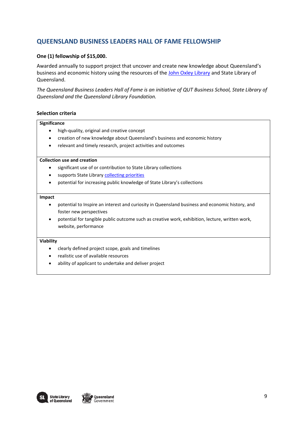## **QUEENSLAND BUSINESS LEADERS HALL OF FAME FELLOWSHIP**

## **One (1) fellowship of \$15,000.**

Awarded annually to support project that uncover and create new knowledge about Queensland's business and economic history using the resources of the [John Oxley Library](https://www.slq.qld.gov.au/plan-my-visit/spaces-visit/john-oxley-library) and State Library of Queensland.

*The Queensland Business Leaders Hall of Fame is an initiative of QUT Business School, State Library of Queensland and the Queensland Library Foundation.*

### **Selection criteria**

#### **Significance**

- high-quality, original and creative concept
- creation of new knowledge about Queensland's business and economic history
- relevant and timely research, project activities and outcomes

#### **Collection use and creation**

- significant use of or contribution to State Library collections
- supports State Library [collecting priorities](https://www.slq.qld.gov.au/sites/default/files/0019-408511-content-guidelines-memory-collections_0.pdf)
- potential for increasing public knowledge of State Library's collections

#### **Impact**

- potential to Inspire an interest and curiosity in Queensland business and economic history, and foster new perspectives
- potential for tangible public outcome such as creative work, exhibition, lecture, written work, website, performance

- clearly defined project scope, goals and timelines
- realistic use of available resources
- ability of applicant to undertake and deliver project

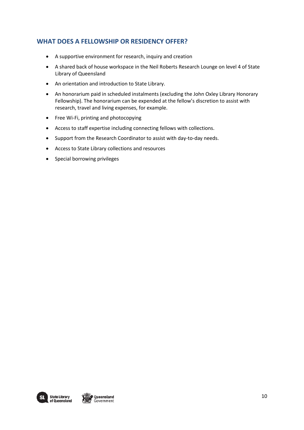## **WHAT DOES A FELLOWSHIP OR RESIDENCY OFFER?**

- A supportive environment for research, inquiry and creation
- A shared back of house workspace in the Neil Roberts Research Lounge on level 4 of State Library of Queensland
- An orientation and introduction to State Library.
- An honorarium paid in scheduled instalments (excluding the John Oxley Library Honorary Fellowship). The honorarium can be expended at the fellow's discretion to assist with research, travel and living expenses, for example.
- Free Wi-Fi, printing and photocopying
- Access to staff expertise including connecting fellows with collections.
- Support from the Research Coordinator to assist with day-to-day needs.
- Access to State Library collections and resources
- Special borrowing privileges

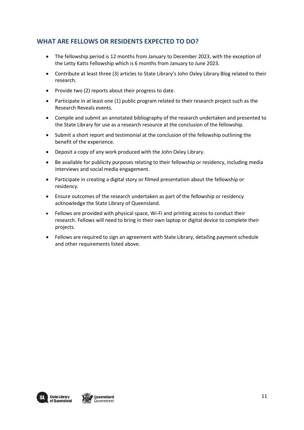## **WHAT ARE FELLOWS OR RESIDENTS EXPECTED TO DO?**

- The fellowship period is 12 months from January to December 2023, with the exception of the Letty Katts Fellowship which is 6 months from January to June 2023.
- Contribute at least three (3) articles to State Library's John Oxley Library Blog related to their research.
- Provide two (2) reports about their progress to date.
- Participate in at least one (1) public program related to their research project such as the Research Reveals events.
- Compile and submit an annotated bibliography of the research undertaken and presented to the State Library for use as a research resource at the conclusion of the fellowship.
- Submit a short report and testimonial at the conclusion of the fellowship outlining the benefit of the experience.
- Deposit a copy of any work produced with the John Oxley Library.
- Be available for publicity purposes relating to their fellowship or residency, including media interviews and social media engagement.
- Participate in creating a digital story or filmed presentation about the fellowship or residency.
- Ensure outcomes of the research undertaken as part of the fellowship or residency acknowledge the State Library of Queensland.
- Fellows are provided with physical space, Wi-Fi and printing access to conduct their research. Fellows will need to bring in their own laptop or digital device to complete their projects.
- Fellows are required to sign an agreement with State Library, detailing payment schedule and other requirements listed above.



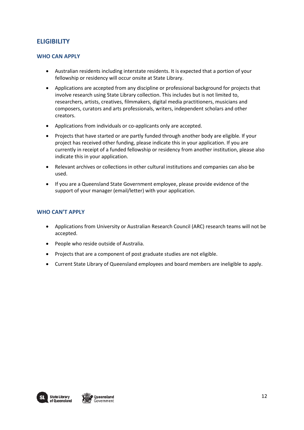## **ELIGIBILITY**

### **WHO CAN APPLY**

- Australian residents including interstate residents. It is expected that a portion of your fellowship or residency will occur onsite at State Library.
- Applications are accepted from any discipline or professional background for projects that involve research using State Library collection. This includes but is not limited to, researchers, artists, creatives, filmmakers, digital media practitioners, musicians and composers, curators and arts professionals, writers, independent scholars and other creators.
- Applications from individuals or co-applicants only are accepted.
- Projects that have started or are partly funded through another body are eligible. If your project has received other funding, please indicate this in your application. If you are currently in receipt of a funded fellowship or residency from another institution, please also indicate this in your application.
- Relevant archives or collections in other cultural institutions and companies can also be used.
- If you are a Queensland State Government employee, please provide evidence of the support of your manager (email/letter) with your application.

## **WHO CAN'T APPLY**

- Applications from University or Australian Research Council (ARC) research teams will not be accepted.
- People who reside outside of Australia.
- Projects that are a component of post graduate studies are not eligible.
- Current State Library of Queensland employees and board members are ineligible to apply.



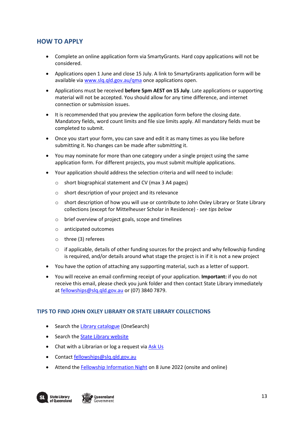## **HOW TO APPLY**

- Complete an online application form via SmartyGrants. Hard copy applications will not be considered.
- Applications open 1 June and close 15 July. A link to SmartyGrants application form will be available via [www.slq.qld.gov.au/qma](http://www.slq.qld.gov/qma) once applications open.
- Applications must be received **before 5pm AEST on 15 July**. Late applications or supporting material will not be accepted. You should allow for any time difference, and internet connection or submission issues.
- It is recommended that you preview the application form before the closing date. Mandatory fields, word count limits and file size limits apply. All mandatory fields must be completed to submit.
- Once you start your form, you can save and edit it as many times as you like before submitting it. No changes can be made after submitting it.
- You may nominate for more than one category under a single project using the same application form. For different projects, you must submit multiple applications.
- Your application should address the selection criteria and will need to include:
	- o short biographical statement and CV (max 3 A4 pages)
	- o short description of your project and its relevance
	- o short description of how you will use or contribute to John Oxley Library or State Library collections (except for Mittelheuser Scholar in Residence) - *see tips below*
	- o brief overview of project goals, scope and timelines
	- o anticipated outcomes
	- o three (3) referees
	- $\circ$  if applicable, details of other funding sources for the project and why fellowship funding is required, and/or details around what stage the project is in if it is not a new project
- You have the option of attaching any supporting material, such as a letter of support.
- You will receive an email confirming receipt of your application. **Important:** if you do not receive this email, please check you junk folder and then contact State Library immediately a[t fellowships@slq.qld.gov.au](mailto:fellowships@slq.qld.gov.au) or (07) 3840 7879.

### **TIPS TO FIND JOHN OXLEY LIBRARY OR STATE LIBRARY COLLECTIONS**

- Search th[e Library catalogue](http://onesearch.slq.qld.gov.au/primo-explore/search?vid=SLQ) (OneSearch)
- Search the **State Library website**
- Chat with a Librarian or log a request vi[a Ask Us](https://www.slq.qld.gov.au/plan-my-visit/services/ask-us)
- Contact [fellowships@slq.qld.gov.au](mailto:fellowships@slq.qld.gov.au)
- Attend the [Fellowship Information Night](https://www.slq.qld.gov.au/whats-on/fellowship-information-night-1) on 8 June 2022 (onsite and online)

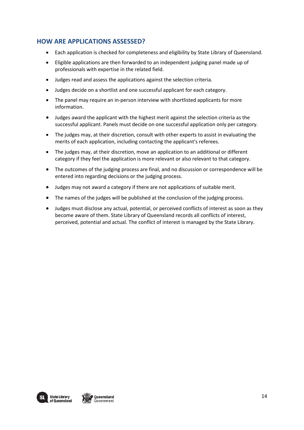## **HOW ARE APPLICATIONS ASSESSED?**

- Each application is checked for completeness and eligibility by State Library of Queensland.
- Eligible applications are then forwarded to an independent judging panel made up of professionals with expertise in the related field.
- Judges read and assess the applications against the selection criteria.
- Judges decide on a shortlist and one successful applicant for each category.
- The panel may require an in-person interview with shortlisted applicants for more information.
- Judges award the applicant with the highest merit against the selection criteria as the successful applicant. Panels must decide on one successful application only per category.
- The judges may, at their discretion, consult with other experts to assist in evaluating the merits of each application, including contacting the applicant's referees.
- The judges may, at their discretion, move an application to an additional or different category if they feel the application is more relevant or also relevant to that category.
- The outcomes of the judging process are final, and no discussion or correspondence will be entered into regarding decisions or the judging process.
- Judges may not award a category if there are not applications of suitable merit.
- The names of the judges will be published at the conclusion of the judging process.
- Judges must disclose any actual, potential, or perceived conflicts of interest as soon as they become aware of them. State Library of Queensland records all conflicts of interest, perceived, potential and actual. The conflict of interest is managed by the State Library.